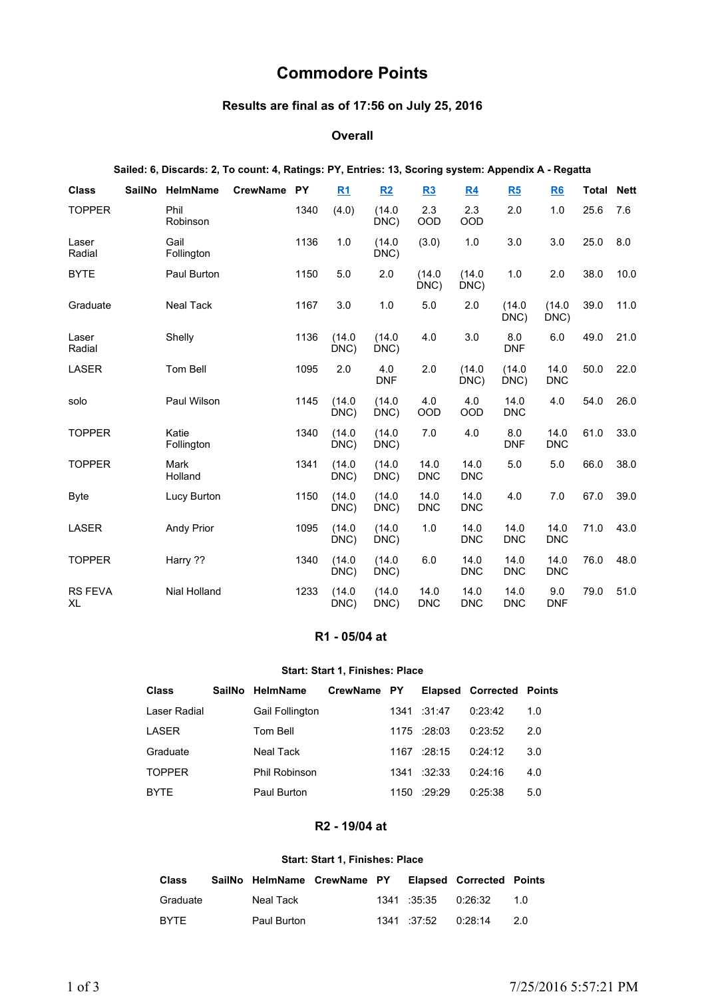# **Commodore Points**

# **Results are final as of 17:56 on July 25, 2016**

## **Overall**

|                      | Sailed: 6, Discards: 2, To count: 4, Ratings: PY, Entries: 13, Scoring system: Appendix A - Regatta |             |      |                |                   |                    |                    |                    |                    |              |             |
|----------------------|-----------------------------------------------------------------------------------------------------|-------------|------|----------------|-------------------|--------------------|--------------------|--------------------|--------------------|--------------|-------------|
| <b>Class</b>         | SailNo HelmName                                                                                     | CrewName PY |      | R <sub>1</sub> | R2                | <u>R3</u>          | <u>R4</u>          | R5                 | <u>R6</u>          | <b>Total</b> | <b>Nett</b> |
| <b>TOPPER</b>        | Phil<br>Robinson                                                                                    |             | 1340 | (4.0)          | (14.0)<br>DNC)    | 2.3<br>OOD         | 2.3<br>OOD         | 2.0                | 1.0                | 25.6         | 7.6         |
| Laser<br>Radial      | Gail<br>Follington                                                                                  |             | 1136 | 1.0            | (14.0)<br>DNC)    | (3.0)              | 1.0                | 3.0                | 3.0                | 25.0         | 8.0         |
| <b>BYTE</b>          | Paul Burton                                                                                         |             | 1150 | 5.0            | 2.0               | (14.0)<br>DNC)     | (14.0)<br>DNC)     | 1.0                | 2.0                | 38.0         | 10.0        |
| Graduate             | <b>Neal Tack</b>                                                                                    |             | 1167 | 3.0            | 1.0               | 5.0                | 2.0                | (14.0)<br>DNC)     | (14.0)<br>DNC)     | 39.0         | 11.0        |
| Laser<br>Radial      | Shelly                                                                                              |             | 1136 | (14.0)<br>DNC) | (14.0)<br>DNC)    | 4.0                | 3.0                | 8.0<br><b>DNF</b>  | 6.0                | 49.0         | 21.0        |
| <b>LASER</b>         | Tom Bell                                                                                            |             | 1095 | 2.0            | 4.0<br><b>DNF</b> | 2.0                | (14.0)<br>DNC)     | (14.0)<br>DNC)     | 14.0<br><b>DNC</b> | 50.0         | 22.0        |
| solo                 | Paul Wilson                                                                                         |             | 1145 | (14.0)<br>DNC) | (14.0)<br>DNC)    | 4.0<br>OOD         | 4.0<br>OOD         | 14.0<br><b>DNC</b> | 4.0                | 54.0         | 26.0        |
| <b>TOPPER</b>        | Katie<br>Follington                                                                                 |             | 1340 | (14.0)<br>DNC) | (14.0)<br>DNC)    | 7.0                | 4.0                | 8.0<br><b>DNF</b>  | 14.0<br><b>DNC</b> | 61.0         | 33.0        |
| <b>TOPPER</b>        | Mark<br>Holland                                                                                     |             | 1341 | (14.0)<br>DNC) | (14.0)<br>DNC)    | 14.0<br><b>DNC</b> | 14.0<br><b>DNC</b> | 5.0                | 5.0                | 66.0         | 38.0        |
| <b>Byte</b>          | Lucy Burton                                                                                         |             | 1150 | (14.0)<br>DNC) | (14.0)<br>DNC)    | 14.0<br><b>DNC</b> | 14.0<br><b>DNC</b> | 4.0                | 7.0                | 67.0         | 39.0        |
| LASER                | <b>Andy Prior</b>                                                                                   |             | 1095 | (14.0)<br>DNC) | (14.0)<br>DNC)    | 1.0                | 14.0<br><b>DNC</b> | 14.0<br><b>DNC</b> | 14.0<br><b>DNC</b> | 71.0         | 43.0        |
| <b>TOPPER</b>        | Harry ??                                                                                            |             | 1340 | (14.0)<br>DNC) | (14.0)<br>DNC)    | 6.0                | 14.0<br><b>DNC</b> | 14.0<br><b>DNC</b> | 14.0<br><b>DNC</b> | 76.0         | 48.0        |
| <b>RS FEVA</b><br>XL | <b>Nial Holland</b>                                                                                 |             | 1233 | (14.0)<br>DNC) | (14.0)<br>DNC)    | 14.0<br><b>DNC</b> | 14.0<br><b>DNC</b> | 14.0<br><b>DNC</b> | 9.0<br><b>DNF</b>  | 79.0         | 51.0        |

## **R1 - 05/04 at**

#### **Start: Start 1, Finishes: Place**

| <b>Class</b>  | SailNo | <b>HelmName</b>        | CrewName PY |                    | <b>Elapsed Corrected Points</b> |     |
|---------------|--------|------------------------|-------------|--------------------|---------------------------------|-----|
| Laser Radial  |        | <b>Gail Follington</b> |             | $1341 \quad 31.47$ | 0:23:42                         | 1.0 |
| <b>LASER</b>  |        | Tom Bell               |             | 1175 :28:03        | 0:23:52                         | 2.0 |
| Graduate      |        | Neal Tack              |             | 1167 :28:15        | 0:24:12                         | 3.0 |
| <b>TOPPER</b> |        | Phil Robinson          |             | $1341 \t32.33$     | 0:24:16                         | 4.0 |
| <b>BYTE</b>   |        | Paul Burton            |             | $1150 - 29.29$     | 0:25:38                         | 5.0 |
|               |        |                        |             |                    |                                 |     |

# **R2 - 19/04 at**

#### **Start: Start 1, Finishes: Place**

| <b>Class</b> | SailNo HelmName CrewName PY |  |                                  | <b>Elapsed Corrected Points</b> |     |
|--------------|-----------------------------|--|----------------------------------|---------------------------------|-----|
| Graduate     | Neal Tack                   |  |                                  |                                 | 1 N |
| <b>BYTE</b>  | Paul Burton                 |  | $1341 \quad 37.52 \quad 0.28.14$ |                                 | 2.0 |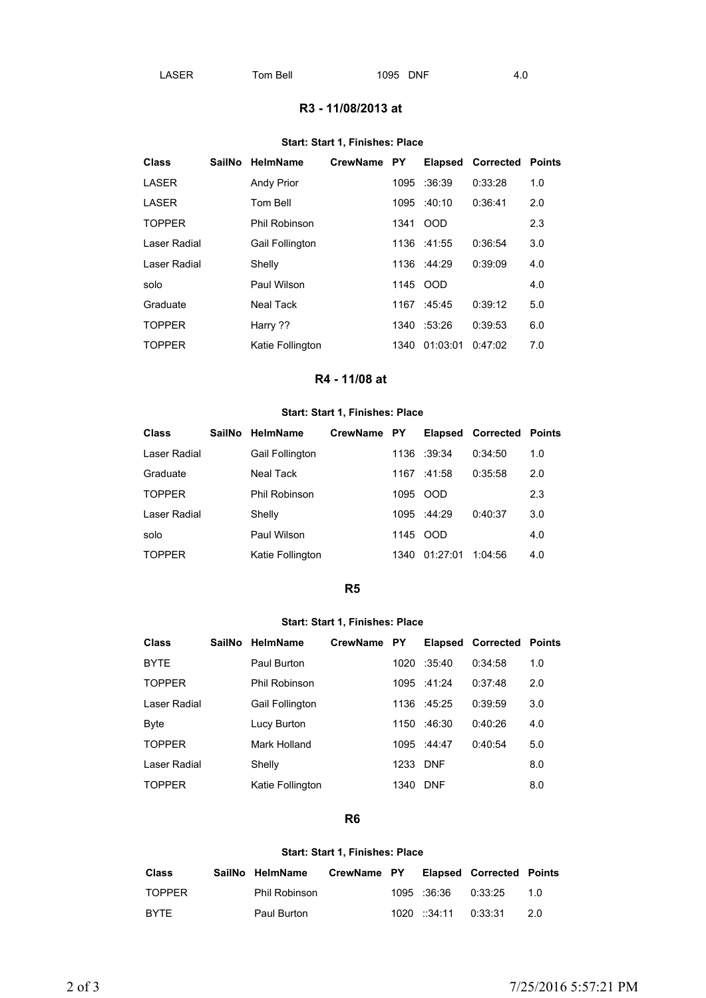## **R3 - 11/08/2013 at**

### **Start: Start 1, Finishes: Place**

| <b>Class</b>  | <b>SailNo</b> | <b>HelmName</b>   | <b>CrewName</b> | <b>PY</b> |             | <b>Elapsed Corrected</b> | Points |
|---------------|---------------|-------------------|-----------------|-----------|-------------|--------------------------|--------|
| LASER         |               | <b>Andy Prior</b> |                 | 1095      | :36:39      | 0:33:28                  | 1.0    |
| LASER         |               | Tom Bell          |                 | 1095      | :40:10      | 0:36:41                  | 2.0    |
| <b>TOPPER</b> |               | Phil Robinson     |                 | 1341      | <b>OOD</b>  |                          | 2.3    |
| Laser Radial  |               | Gail Follington   |                 |           | 1136 :41:55 | 0:36:54                  | 3.0    |
| Laser Radial  |               | Shelly            |                 |           | 1136 :44:29 | 0:39:09                  | 4.0    |
| solo          |               | Paul Wilson       |                 |           | 1145 OOD    |                          | 4.0    |
| Graduate      |               | <b>Neal Tack</b>  |                 | 1167      | :45:45      | 0:39:12                  | 5.0    |
| <b>TOPPER</b> |               | Harry ??          |                 | 1340      | :53:26      | 0:39:53                  | 6.0    |
| <b>TOPPER</b> |               | Katie Follington  |                 | 1340      | 01:03:01    | 0:47:02                  | 7.0    |
|               |               |                   |                 |           |             |                          |        |

# **R4 - 11/08 at**

### **Start: Start 1, Finishes: Place**

| SailNo |                        |          |      |             |                                         |                                 |
|--------|------------------------|----------|------|-------------|-----------------------------------------|---------------------------------|
|        | <b>Gail Follington</b> |          |      |             | 0:34:50                                 | 1.0                             |
|        | Neal Tack              |          | 1167 | $-41.58$    | 0:35:58                                 | 2.0                             |
|        | Phil Robinson          |          | 1095 | <b>OOD</b>  |                                         | 2.3                             |
|        | Shelly                 |          |      |             | 0:40:37                                 | 3.0                             |
|        | Paul Wilson            |          |      |             |                                         | 4.0                             |
|        | Katie Follington       |          | 1340 | 01:27:01    | 1:04:56                                 | 4.0                             |
|        |                        | HelmName |      | CrewName PY | 1136 : 39:34<br>1095 :44:29<br>1145 OOD | <b>Elapsed Corrected Points</b> |

#### **R5**

#### **Start: Start 1, Finishes: Place**

| Class         | <b>SailNo</b> | <b>HelmName</b>        | <b>CrewName</b> | PY   |             | <b>Elapsed Corrected Points</b> |     |
|---------------|---------------|------------------------|-----------------|------|-------------|---------------------------------|-----|
| <b>BYTE</b>   |               | Paul Burton            |                 | 1020 | :35:40      | 0:34:58                         | 1.0 |
| <b>TOPPER</b> |               | Phil Robinson          |                 |      | 1095 :41:24 | 0:37:48                         | 2.0 |
| Laser Radial  |               | <b>Gail Follington</b> |                 |      | 1136 :45:25 | 0:39:59                         | 3.0 |
| Byte          |               | Lucy Burton            |                 | 1150 | :46:30      | 0:40:26                         | 4.0 |
| <b>TOPPER</b> |               | Mark Holland           |                 |      | 1095 :44:47 | 0:40:54                         | 5.0 |
| Laser Radial  |               | Shelly                 |                 | 1233 | <b>DNF</b>  |                                 | 8.0 |
| <b>TOPPER</b> |               | Katie Follington       |                 | 1340 | <b>DNF</b>  |                                 | 8.0 |

#### **R6**

## **Start: Start 1, Finishes: Place**

| <b>Class</b>  | SailNo HelmName | CrewName PY |                        | <b>Elapsed Corrected Points</b> |     |
|---------------|-----------------|-------------|------------------------|---------------------------------|-----|
| <b>TOPPFR</b> | Phil Robinson   |             | 1095 :36:36            | 0:33:25                         | 1.0 |
| <b>BYTE</b>   | Paul Burton     |             | $1020$ ::34:11 0:33:31 |                                 | 2 O |